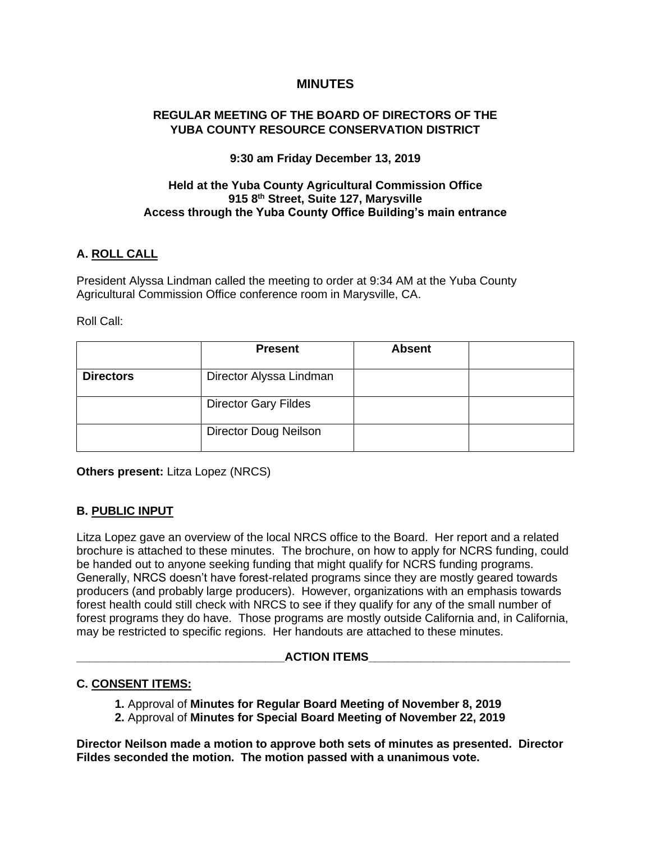# **MINUTES**

### **REGULAR MEETING OF THE BOARD OF DIRECTORS OF THE YUBA COUNTY RESOURCE CONSERVATION DISTRICT**

### **9:30 am Friday December 13, 2019**

# **Held at the Yuba County Agricultural Commission Office 915 8th Street, Suite 127, Marysville Access through the Yuba County Office Building's main entrance**

# **A. ROLL CALL**

President Alyssa Lindman called the meeting to order at 9:34 AM at the Yuba County Agricultural Commission Office conference room in Marysville, CA.

#### Roll Call:

|                  | <b>Present</b>               | <b>Absent</b> |  |
|------------------|------------------------------|---------------|--|
| <b>Directors</b> | Director Alyssa Lindman      |               |  |
|                  | <b>Director Gary Fildes</b>  |               |  |
|                  | <b>Director Doug Neilson</b> |               |  |

**Others present:** Litza Lopez (NRCS)

### **B. PUBLIC INPUT**

Litza Lopez gave an overview of the local NRCS office to the Board. Her report and a related brochure is attached to these minutes. The brochure, on how to apply for NCRS funding, could be handed out to anyone seeking funding that might qualify for NCRS funding programs. Generally, NRCS doesn't have forest-related programs since they are mostly geared towards producers (and probably large producers). However, organizations with an emphasis towards forest health could still check with NRCS to see if they qualify for any of the small number of forest programs they do have. Those programs are mostly outside California and, in California, may be restricted to specific regions. Her handouts are attached to these minutes.

#### **\_\_\_\_\_\_\_\_\_\_\_\_\_\_\_\_\_\_\_\_\_\_\_\_\_\_\_\_\_\_\_\_ACTION ITEMS\_\_\_\_\_\_\_\_\_\_\_\_\_\_\_\_\_\_\_\_\_\_\_\_\_\_\_\_\_\_\_**

### **C. CONSENT ITEMS:**

- **1.** Approval of **Minutes for Regular Board Meeting of November 8, 2019**
- **2.** Approval of **Minutes for Special Board Meeting of November 22, 2019**

**Director Neilson made a motion to approve both sets of minutes as presented. Director Fildes seconded the motion. The motion passed with a unanimous vote.**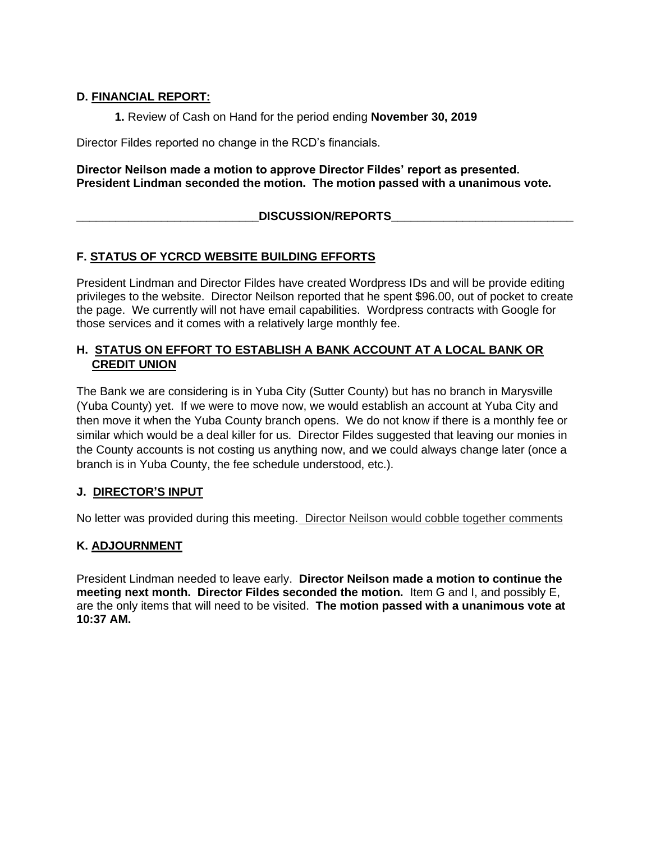# **D. FINANCIAL REPORT:**

**1.** Review of Cash on Hand for the period ending **November 30, 2019**

Director Fildes reported no change in the RCD's financials.

### **Director Neilson made a motion to approve Director Fildes' report as presented. President Lindman seconded the motion. The motion passed with a unanimous vote.**

# **\_\_\_\_\_\_\_\_\_\_\_\_\_\_\_\_\_\_\_\_\_\_\_\_\_\_\_\_DISCUSSION/REPORTS\_\_\_\_\_\_\_\_\_\_\_\_\_\_\_\_\_\_\_\_\_\_\_\_\_\_\_\_**

# **F. STATUS OF YCRCD WEBSITE BUILDING EFFORTS**

President Lindman and Director Fildes have created Wordpress IDs and will be provide editing privileges to the website. Director Neilson reported that he spent \$96.00, out of pocket to create the page. We currently will not have email capabilities. Wordpress contracts with Google for those services and it comes with a relatively large monthly fee.

# **H. STATUS ON EFFORT TO ESTABLISH A BANK ACCOUNT AT A LOCAL BANK OR CREDIT UNION**

The Bank we are considering is in Yuba City (Sutter County) but has no branch in Marysville (Yuba County) yet. If we were to move now, we would establish an account at Yuba City and then move it when the Yuba County branch opens. We do not know if there is a monthly fee or similar which would be a deal killer for us. Director Fildes suggested that leaving our monies in the County accounts is not costing us anything now, and we could always change later (once a branch is in Yuba County, the fee schedule understood, etc.).

### **J. DIRECTOR'S INPUT**

No letter was provided during this meeting. Director Neilson would cobble together comments

### **K. ADJOURNMENT**

President Lindman needed to leave early. **Director Neilson made a motion to continue the meeting next month. Director Fildes seconded the motion.** Item G and I, and possibly E, are the only items that will need to be visited. **The motion passed with a unanimous vote at 10:37 AM.**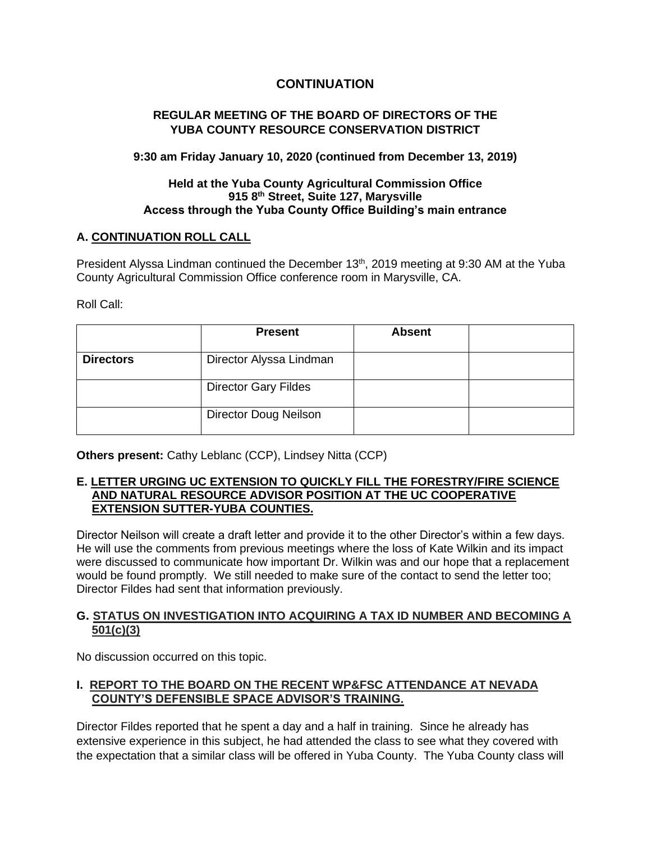# **CONTINUATION**

# **REGULAR MEETING OF THE BOARD OF DIRECTORS OF THE YUBA COUNTY RESOURCE CONSERVATION DISTRICT**

### **9:30 am Friday January 10, 2020 (continued from December 13, 2019)**

## **Held at the Yuba County Agricultural Commission Office 915 8th Street, Suite 127, Marysville Access through the Yuba County Office Building's main entrance**

# **A. CONTINUATION ROLL CALL**

President Alyssa Lindman continued the December 13<sup>th</sup>, 2019 meeting at 9:30 AM at the Yuba County Agricultural Commission Office conference room in Marysville, CA.

Roll Call:

|                  | <b>Present</b>               | <b>Absent</b> |  |
|------------------|------------------------------|---------------|--|
| <b>Directors</b> | Director Alyssa Lindman      |               |  |
|                  | <b>Director Gary Fildes</b>  |               |  |
|                  | <b>Director Doug Neilson</b> |               |  |

**Others present:** Cathy Leblanc (CCP), Lindsey Nitta (CCP)

#### **E. LETTER URGING UC EXTENSION TO QUICKLY FILL THE FORESTRY/FIRE SCIENCE AND NATURAL RESOURCE ADVISOR POSITION AT THE UC COOPERATIVE EXTENSION SUTTER-YUBA COUNTIES.**

Director Neilson will create a draft letter and provide it to the other Director's within a few days. He will use the comments from previous meetings where the loss of Kate Wilkin and its impact were discussed to communicate how important Dr. Wilkin was and our hope that a replacement would be found promptly. We still needed to make sure of the contact to send the letter too; Director Fildes had sent that information previously.

### **G. STATUS ON INVESTIGATION INTO ACQUIRING A TAX ID NUMBER AND BECOMING A 501(c)(3)**

No discussion occurred on this topic.

# **I. REPORT TO THE BOARD ON THE RECENT WP&FSC ATTENDANCE AT NEVADA COUNTY'S DEFENSIBLE SPACE ADVISOR'S TRAINING.**

Director Fildes reported that he spent a day and a half in training. Since he already has extensive experience in this subject, he had attended the class to see what they covered with the expectation that a similar class will be offered in Yuba County. The Yuba County class will